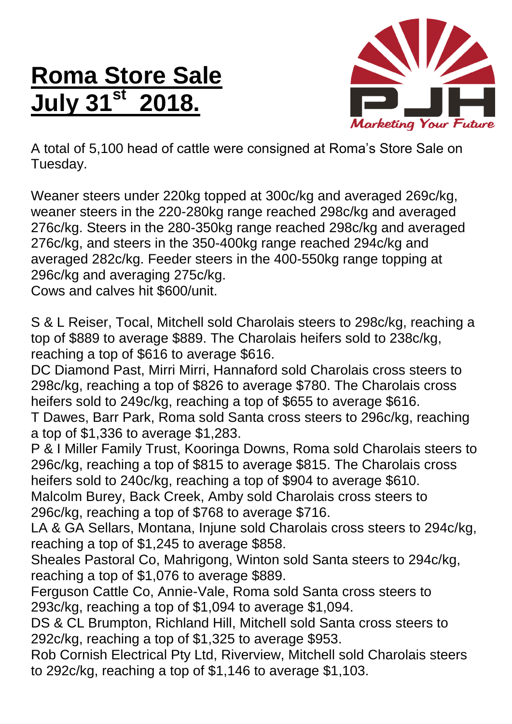## **Roma Store Sale July 31st 2018.**



A total of 5,100 head of cattle were consigned at Roma's Store Sale on Tuesday.

Weaner steers under 220kg topped at 300c/kg and averaged 269c/kg, weaner steers in the 220-280kg range reached 298c/kg and averaged 276c/kg. Steers in the 280-350kg range reached 298c/kg and averaged 276c/kg, and steers in the 350-400kg range reached 294c/kg and averaged 282c/kg. Feeder steers in the 400-550kg range topping at 296c/kg and averaging 275c/kg.

Cows and calves hit \$600/unit.

S & L Reiser, Tocal, Mitchell sold Charolais steers to 298c/kg, reaching a top of \$889 to average \$889. The Charolais heifers sold to 238c/kg, reaching a top of \$616 to average \$616.

DC Diamond Past, Mirri Mirri, Hannaford sold Charolais cross steers to 298c/kg, reaching a top of \$826 to average \$780. The Charolais cross heifers sold to 249c/kg, reaching a top of \$655 to average \$616.

T Dawes, Barr Park, Roma sold Santa cross steers to 296c/kg, reaching a top of \$1,336 to average \$1,283.

P & I Miller Family Trust, Kooringa Downs, Roma sold Charolais steers to 296c/kg, reaching a top of \$815 to average \$815. The Charolais cross heifers sold to 240c/kg, reaching a top of \$904 to average \$610.

Malcolm Burey, Back Creek, Amby sold Charolais cross steers to 296c/kg, reaching a top of \$768 to average \$716.

LA & GA Sellars, Montana, Injune sold Charolais cross steers to 294c/kg, reaching a top of \$1,245 to average \$858.

Sheales Pastoral Co, Mahrigong, Winton sold Santa steers to 294c/kg, reaching a top of \$1,076 to average \$889.

Ferguson Cattle Co, Annie-Vale, Roma sold Santa cross steers to 293c/kg, reaching a top of \$1,094 to average \$1,094.

DS & CL Brumpton, Richland Hill, Mitchell sold Santa cross steers to 292c/kg, reaching a top of \$1,325 to average \$953.

Rob Cornish Electrical Pty Ltd, Riverview, Mitchell sold Charolais steers to 292c/kg, reaching a top of \$1,146 to average \$1,103.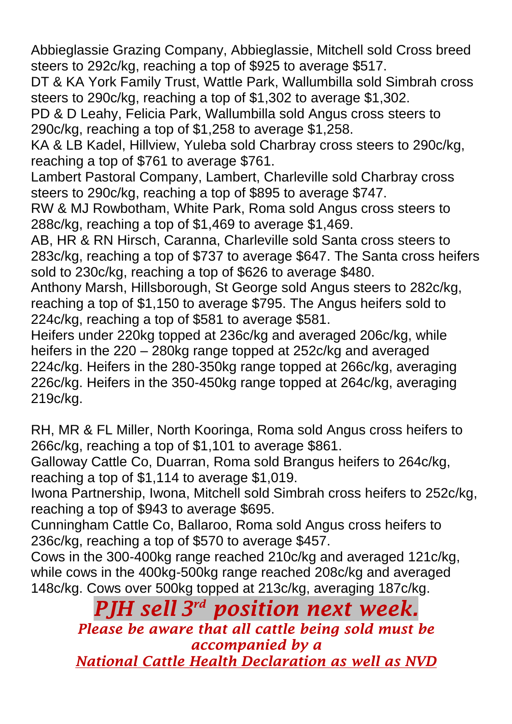Abbieglassie Grazing Company, Abbieglassie, Mitchell sold Cross breed steers to 292c/kg, reaching a top of \$925 to average \$517.

DT & KA York Family Trust, Wattle Park, Wallumbilla sold Simbrah cross steers to 290c/kg, reaching a top of \$1,302 to average \$1,302.

PD & D Leahy, Felicia Park, Wallumbilla sold Angus cross steers to 290c/kg, reaching a top of \$1,258 to average \$1,258.

KA & LB Kadel, Hillview, Yuleba sold Charbray cross steers to 290c/kg, reaching a top of \$761 to average \$761.

Lambert Pastoral Company, Lambert, Charleville sold Charbray cross steers to 290c/kg, reaching a top of \$895 to average \$747.

RW & MJ Rowbotham, White Park, Roma sold Angus cross steers to 288c/kg, reaching a top of \$1,469 to average \$1,469.

AB, HR & RN Hirsch, Caranna, Charleville sold Santa cross steers to 283c/kg, reaching a top of \$737 to average \$647. The Santa cross heifers sold to 230c/kg, reaching a top of \$626 to average \$480.

Anthony Marsh, Hillsborough, St George sold Angus steers to 282c/kg, reaching a top of \$1,150 to average \$795. The Angus heifers sold to 224c/kg, reaching a top of \$581 to average \$581.

Heifers under 220kg topped at 236c/kg and averaged 206c/kg, while heifers in the 220 – 280kg range topped at 252c/kg and averaged 224c/kg. Heifers in the 280-350kg range topped at 266c/kg, averaging 226c/kg. Heifers in the 350-450kg range topped at 264c/kg, averaging 219c/kg.

RH, MR & FL Miller, North Kooringa, Roma sold Angus cross heifers to 266c/kg, reaching a top of \$1,101 to average \$861.

Galloway Cattle Co, Duarran, Roma sold Brangus heifers to 264c/kg, reaching a top of \$1,114 to average \$1,019.

Iwona Partnership, Iwona, Mitchell sold Simbrah cross heifers to 252c/kg, reaching a top of \$943 to average \$695.

Cunningham Cattle Co, Ballaroo, Roma sold Angus cross heifers to 236c/kg, reaching a top of \$570 to average \$457.

Cows in the 300-400kg range reached 210c/kg and averaged 121c/kg, while cows in the 400kg-500kg range reached 208c/kg and averaged 148c/kg. Cows over 500kg topped at 213c/kg, averaging 187c/kg.

> *PJH sell 3 rd position next week. Please be aware that all cattle being sold must be accompanied by a National Cattle Health Declaration as well as NVD*